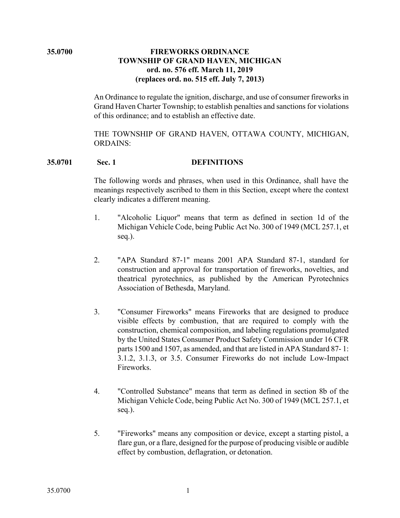# **35.0700 FIREWORKS ORDINANCE TOWNSHIP OF GRAND HAVEN, MICHIGAN ord. no. 576 eff. March 11, 2019 (replaces ord. no. 515 eff. July 7, 2013)**

An Ordinance to regulate the ignition, discharge, and use of consumer fireworks in Grand Haven Charter Township; to establish penalties and sanctions for violations of this ordinance; and to establish an effective date.

THE TOWNSHIP OF GRAND HAVEN, OTTAWA COUNTY, MICHIGAN, ORDAINS:

# **35.0701 Sec. 1 DEFINITIONS**

The following words and phrases, when used in this Ordinance, shall have the meanings respectively ascribed to them in this Section, except where the context clearly indicates a different meaning.

- 1. "Alcoholic Liquor" means that term as defined in section 1d of the Michigan Vehicle Code, being Public Act No. 300 of 1949 (MCL 257.1, et seq.).
- 2. "APA Standard 87-1" means 2001 APA Standard 87-1, standard for construction and approval for transportation of fireworks, novelties, and theatrical pyrotechnics, as published by the American Pyrotechnics Association of Bethesda, Maryland.
- 3. "Consumer Fireworks" means Fireworks that are designed to produce visible effects by combustion, that are required to comply with the construction, chemical composition, and labeling regulations promulgated by the United States Consumer Product Safety Commission under 16 CFR parts 1500 and 1507, as amended, and that are listed in APA Standard 87- 1: 3.1.2, 3.1.3, or 3.5. Consumer Fireworks do not include Low-Impact Fireworks.
- 4. "Controlled Substance" means that term as defined in section 8b of the Michigan Vehicle Code, being Public Act No. 300 of 1949 (MCL 257.1, et seq.).
- 5. "Fireworks" means any composition or device, except a starting pistol, a flare gun, or a flare, designed for the purpose of producing visible or audible effect by combustion, deflagration, or detonation.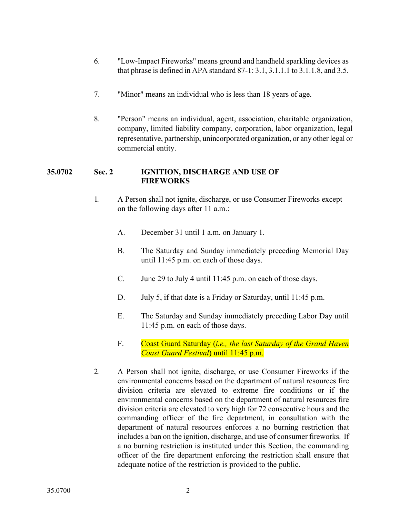- 6. "Low-Impact Fireworks" means ground and handheld sparkling devices as that phrase is defined in APA standard 87-1: 3.1, 3.1.1.1 to 3.1.1.8, and 3.5.
- 7. "Minor" means an individual who is less than 18 years of age.
- 8. "Person" means an individual, agent, association, charitable organization, company, limited liability company, corporation, labor organization, legal representative, partnership, unincorporated organization, or any other legal or commercial entity.

## **35.0702 Sec. 2 IGNITION, DISCHARGE AND USE OF FIREWORKS**

- 1. A Person shall not ignite, discharge, or use Consumer Fireworks except on the following days after 11 a.m.:
	- A. December 31 until 1 a.m. on January 1.
	- B. The Saturday and Sunday immediately preceding Memorial Day until 11:45 p.m. on each of those days.
	- C. June 29 to July 4 until 11:45 p.m. on each of those days.
	- D. July 5, if that date is a Friday or Saturday, until 11:45 p.m.
	- E. The Saturday and Sunday immediately preceding Labor Day until 11:45 p.m. on each of those days.
	- F. Coast Guard Saturday (*i.e., the last Saturday of the Grand Haven Coast Guard Festival*) until 11:45 p.m.
- 2. A Person shall not ignite, discharge, or use Consumer Fireworks if the environmental concerns based on the department of natural resources fire division criteria are elevated to extreme fire conditions or if the environmental concerns based on the department of natural resources fire division criteria are elevated to very high for 72 consecutive hours and the commanding officer of the fire department, in consultation with the department of natural resources enforces a no burning restriction that includes a ban on the ignition, discharge, and use of consumer fireworks. If a no burning restriction is instituted under this Section, the commanding officer of the fire department enforcing the restriction shall ensure that adequate notice of the restriction is provided to the public.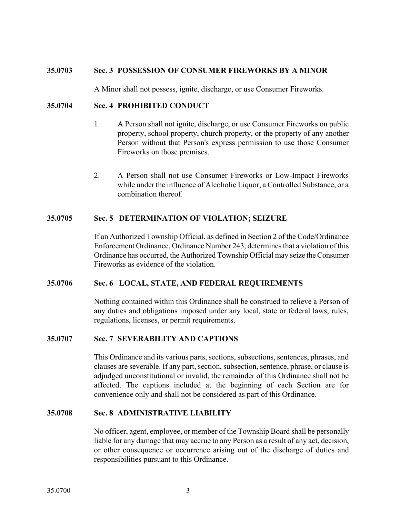## **35.0703 Sec. 3 POSSESSION OF CONSUMER FIREWORKS BY A MINOR**

A Minor shall not possess, ignite, discharge, or use Consumer Fireworks.

### **35.0704 Sec. 4 PROHIBITED CONDUCT**

- 1. A Person shall not ignite, discharge, or use Consumer Fireworks on public property, school property, church property, or the property of any another Person without that Person's express permission to use those Consumer Fireworks on those premises.
- 2. A Person shall not use Consumer Fireworks or Low-Impact Fireworks while under the influence of Alcoholic Liquor, a Controlled Substance, or a combination thereof.

### **35.0705 Sec. 5 DETERMINATION OF VIOLATION; SEIZURE**

If an Authorized Township Official, as defined in Section 2 of the Code/Ordinance Enforcement Ordinance, Ordinance Number 243, determines that a violation of this Ordinance has occurred, the Authorized Township Official may seize the Consumer Fireworks as evidence of the violation.

#### **35.0706 Sec. 6 LOCAL, STATE, AND FEDERAL REQUIREMENTS**

Nothing contained within this Ordinance shall be construed to relieve a Person of any duties and obligations imposed under any local, state or federal laws, rules, regulations, licenses, or permit requirements.

## **35.0707 Sec. 7 SEVERABILITY AND CAPTIONS**

This Ordinance and its various parts, sections, subsections, sentences, phrases, and clauses are severable. If any part, section, subsection, sentence, phrase, or clause is adjudged unconstitutional or invalid, the remainder of this Ordinance shall not be affected. The captions included at the beginning of each Section are for convenience only and shall not be considered as part of this Ordinance.

#### **35.0708 Sec. 8 ADMINISTRATIVE LIABILITY**

No officer, agent, employee, or member of the Township Board shall be personally liable for any damage that may accrue to any Person as a result of any act, decision, or other consequence or occurrence arising out of the discharge of duties and responsibilities pursuant to this Ordinance.